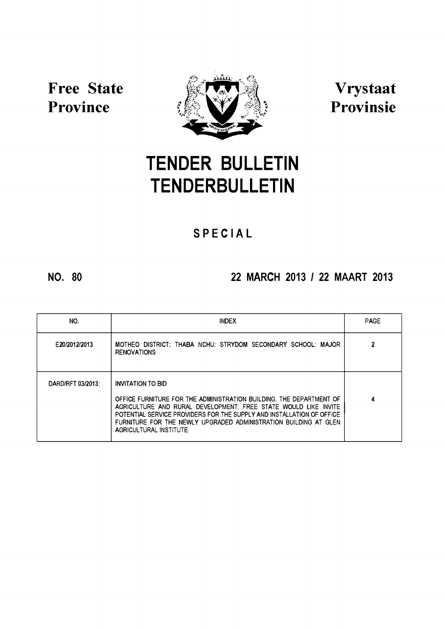

# **[TENDER](http://www.greengazette.co.za/publications/tender-bulletins) [BULLETIN](http://www.greengazette.co.za/publications/tender-bulletins) TENDERBULLETIN**

# **S P E C I A L**

# **NO. 80 22 MARCH 2013** *I* **22 MAART 2013**

| NO.               | <b>INDEX</b>                                                                                                                                                                                                                                                                                                                               | <b>PAGE</b> |
|-------------------|--------------------------------------------------------------------------------------------------------------------------------------------------------------------------------------------------------------------------------------------------------------------------------------------------------------------------------------------|-------------|
| E20/2012/2013     | MOTHEO DISTRICT: THABA NCHU: STRYDOM SECONDARY SCHOOL: MAJOR<br><b>RENOVATIONS</b>                                                                                                                                                                                                                                                         |             |
| DARD/RFT 03/2013: | <b>INVITATION TO BID</b><br>OFFICE FURNITURE FOR THE ADMINISTRATION BUILDING. THE DEPARTMENT OF<br>AGRICULTURE AND RURAL DEVELOPMENT: FREE STATE WOULD LIKE INVITE<br>POTENTIAL SERVICE PROVIDERS FOR THE SUPPLY AND INSTALLATION OF OFFICE<br>FURNITURE FOR THE NEWLY UPGRADED ADMINISTRATION BUILDING AT GLEN<br>AGRICULTURAL INSTITUTE. | 4           |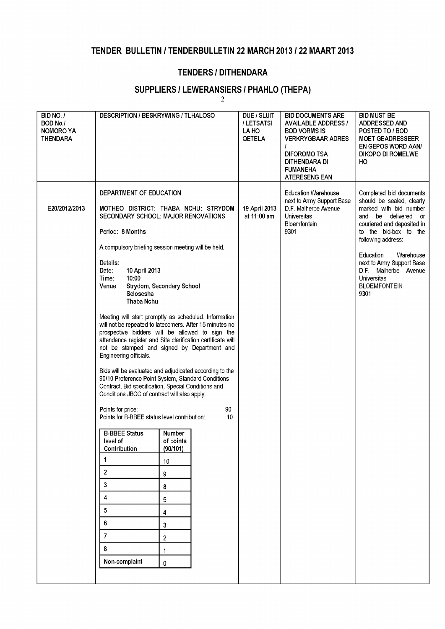### **[TENDER BULLETIN](http://www.greengazette.co.za/publications/tender-bulletins)** *I* **TENDERBULLETIN 22 MARCH 2013***1***22 MAART 2013**

#### **TENDERS/DITHENDARA**

# **SUPPLIERS** *I* **LEWERANSIERS***I* **PHAHLO (THEPA)**

**2**

| BID NO. /<br>BOD No./<br><b>NOMORO YA</b><br><b>THENDARA</b> | DESCRIPTION / BESKRYWING / TLHALOSO                                                                                                                                                                                                                                                                                                                                                                                                                                                                                                                                                                                                                                                                                                                                                                                                                                                                                                                                                                             |                                                                                                                              |          | DUE / SLUIT<br>/LETSATSI<br>LA HO<br><b>QETELA</b> | <b>BID DOCUMENTS ARE</b><br><b>AVAILABLE ADDRESS /</b><br><b>BOD VORMS IS</b><br><b>VERKRYGBAAR ADRES</b><br><b>DIFOROMO TSA</b><br>DITHENDARA DI<br><b>FUMANEHA</b><br>ATERESENG EAN | <b>BID MUST BE</b><br>ADDRESSED AND<br>POSTED TO / BOD<br><b>MOET GEADRESSEER</b><br><b>EN GEPOS WORD AAN/</b><br><b>DIKOPO DI ROMELWE</b><br>HO.                                                                                                                                                                      |
|--------------------------------------------------------------|-----------------------------------------------------------------------------------------------------------------------------------------------------------------------------------------------------------------------------------------------------------------------------------------------------------------------------------------------------------------------------------------------------------------------------------------------------------------------------------------------------------------------------------------------------------------------------------------------------------------------------------------------------------------------------------------------------------------------------------------------------------------------------------------------------------------------------------------------------------------------------------------------------------------------------------------------------------------------------------------------------------------|------------------------------------------------------------------------------------------------------------------------------|----------|----------------------------------------------------|---------------------------------------------------------------------------------------------------------------------------------------------------------------------------------------|------------------------------------------------------------------------------------------------------------------------------------------------------------------------------------------------------------------------------------------------------------------------------------------------------------------------|
| E20/2012/2013                                                | DEPARTMENT OF EDUCATION<br>MOTHEO DISTRICT: THABA NCHU: STRYDOM<br>SECONDARY SCHOOL: MAJOR RENOVATIONS<br>Period: 8 Months<br>A compulsory briefing session meeting will be held.<br>Details:<br>Date:<br>10 April 2013<br>10:00<br>Time:<br>Venue<br>Selosesha<br>Thaba Nchu<br>Meeting will start promptly as scheduled. Information<br>will not be repeated to latecomers. After 15 minutes no<br>prospective bidders will be allowed to sign the<br>attendance register and Site clarification certificate will<br>not be stamped and signed by Department and<br>Engineering officials.<br>Bids will be evaluated and adjudicated according to the<br>90/10 Preference Point System, Standard Conditions<br>Contract, Bid specification, Special Conditions and<br>Conditions JBCC of contract will also apply.<br>Points for price:<br>Points for B-BBEE status level contribution:<br><b>B-BBEE Status</b><br>level of<br>Contribution<br>1<br>$\overline{2}$<br>3<br>4<br>5<br>6<br>$\overline{7}$<br>8 | Strydom, Secondary School<br>Number<br>of points<br>(90/101)<br>10<br>9<br>8<br>5<br>4<br>3<br>$\overline{2}$<br>$\mathbf 1$ | 90<br>10 | 19 April 2013<br>at 11:00 am                       | <b>Education Warehouse</b><br>next to Army Support Base<br>D.F. Malherbe Avenue<br><b>Universitas</b><br>Bloemfontein<br>9301                                                         | Completed bid documents<br>should be sealed, clearly<br>marked with bid number<br>and be delivered or<br>couriered and deposited in<br>to the bid-box to the<br>following address:<br>Education<br>Warehouse<br>next to Army Support Base<br>D.F. Malherbe Avenue<br><b>Universitas</b><br><b>BLOEMFONTEIN</b><br>9301 |
|                                                              | Non-complaint                                                                                                                                                                                                                                                                                                                                                                                                                                                                                                                                                                                                                                                                                                                                                                                                                                                                                                                                                                                                   | 0                                                                                                                            |          |                                                    |                                                                                                                                                                                       |                                                                                                                                                                                                                                                                                                                        |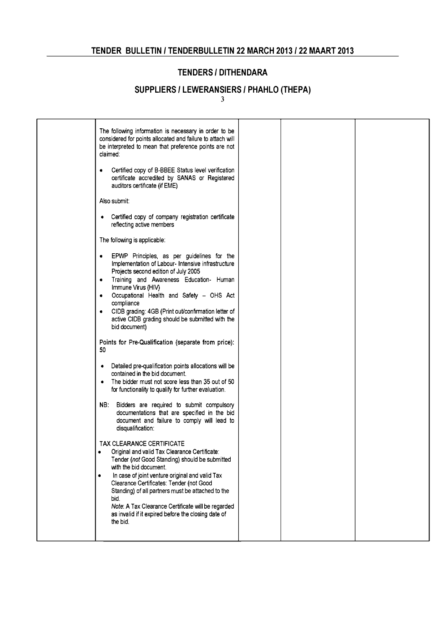#### **TENDERS /DITHENDARA**

# **SUPPLIERS** *I* **LEWERANSIERS***I* **PHAHLO (THEPA)**

3

| The following information is necessary in order to be<br>considered for points allocated and failure to attach will<br>be interpreted to mean that preference points are not<br>claimed:<br>Certified copy of B-BBEE Status level verification<br>٠<br>certificate accredited by SANAS or Registered                                                                                                                                                  |  |  |
|-------------------------------------------------------------------------------------------------------------------------------------------------------------------------------------------------------------------------------------------------------------------------------------------------------------------------------------------------------------------------------------------------------------------------------------------------------|--|--|
| auditors certificate (if EME)                                                                                                                                                                                                                                                                                                                                                                                                                         |  |  |
| Also submit:                                                                                                                                                                                                                                                                                                                                                                                                                                          |  |  |
| • Certified copy of company registration certificate<br>reflecting active members                                                                                                                                                                                                                                                                                                                                                                     |  |  |
| The following is applicable:                                                                                                                                                                                                                                                                                                                                                                                                                          |  |  |
| EPWP Principles, as per guidelines for the<br>$\bullet$<br>Implementation of Labour- Intensive infrastructure<br>Projects second edition of July 2005<br>Training and Awareness Education- Human<br>٠<br>Immune Virus (HIV)<br>Occupational Health and Safety - OHS Act<br>$\bullet$<br>compliance<br>CIDB grading: 4GB (Print out/confirmation letter of<br>$\bullet$<br>active CIDB grading should be submitted with the<br>bid document)           |  |  |
| Points for Pre-Qualification (separate from price):<br>50                                                                                                                                                                                                                                                                                                                                                                                             |  |  |
| • Detailed pre-qualification points allocations will be<br>contained in the bid document.<br>The bidder must not score less than 35 out of 50<br>$\bullet$<br>for functionality to qualify for further evaluation.                                                                                                                                                                                                                                    |  |  |
| NB: Bidders are required to submit compulsory<br>documentations that are specified in the bid<br>document and failure to comply will lead to<br>disqualification:                                                                                                                                                                                                                                                                                     |  |  |
| TAX CLEARANCE CERTIFICATE<br>Original and valid Tax Clearance Certificate:<br>٠<br>Tender (not Good Standing) should be submitted<br>with the bid document.<br>In case of joint venture original and valid Tax<br>٠<br>Clearance Certificates: Tender (not Good<br>Standing) of all partners must be attached to the<br>bid.<br>Note: A Tax Clearance Certificate will be regarded<br>as invalid if it expired before the closing date of<br>the bid. |  |  |
|                                                                                                                                                                                                                                                                                                                                                                                                                                                       |  |  |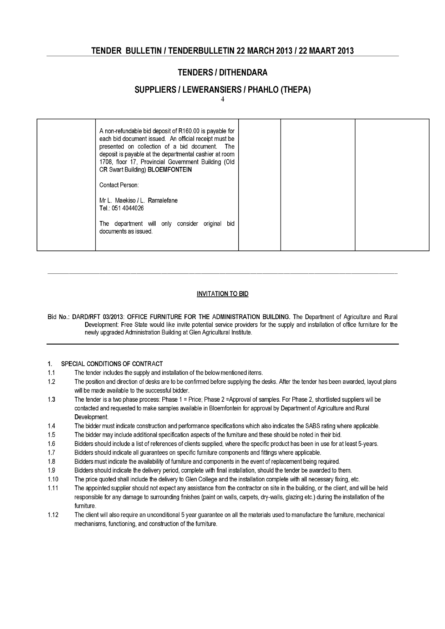#### **[TENDER BULLETIN](http://www.greengazette.co.za/publications/tender-bulletins)** *I* **TENDERBULLETIN 22 MARCH 2013***1***22 MAART 2013**

#### **TENDERS/DITHENDARA**

#### **SUPPLIERS** *I* **LEWERANSIERS***I* **PHAHLO (THEPA)**

4

| A non-refundable bid deposit of R160.00 is payable for<br>each bid document issued. An official receipt must be<br>presented on collection of a bid document. The<br>deposit is payable at the departmental cashier at room<br>1708, floor 17, Provincial Government Building (Old<br>CR Swart Building) BLOEMFONTEIN |
|-----------------------------------------------------------------------------------------------------------------------------------------------------------------------------------------------------------------------------------------------------------------------------------------------------------------------|
| Contact Person:                                                                                                                                                                                                                                                                                                       |
| Mr L. Maekiso / L. Ramalefane<br>Tel.: 051 4044026                                                                                                                                                                                                                                                                    |
| The department will only consider original bid<br>documents as issued.                                                                                                                                                                                                                                                |
|                                                                                                                                                                                                                                                                                                                       |

#### INVITATION TO BID

Bid No.: DARD/RFT 03/2013: OFFICE FURNITURE FOR THE ADMINISTRATION BUILDING. The [Department of Agriculture](http://www.greengazette.co.za/departments/agriculture) and Rural Development: Free State would like invite potential service providers for the supply and installation of office furniture for the newly upgraded Administration Building at Glen Agricultural Institute.

#### 1. SPECIAL CONDITIONS OF CONTRACT

- 1.1 The tender includes the supply and installation of the below mentioned items.
- 1.2 The position and direction of desks are to be confirmed before supplying the desks. After the tender has been awarded, layout plans will be made available to the successful bidder.
- 1.3 The tender is a two phase process: Phase 1 = Price; Phase 2 =Approval of samples. For Phase 2, shortlisted suppliers will be contacted and requested to make samples available in Bloemfontein for approval by Department of Agriculture and Rural Development.
- 1.4 The bidder must indicate construction and performance specifications which also indicates the SABS rating where applicable.
- 1.5 The bidder may include additional specification aspects of the furniture and these should be noted in their bid.
- 1.6 Bidders should include a list of references of clients supplied, where the specific product has been in use for at least 5 years. -
- 1.7 Bidders should indicate all guarantees on specific furniture components and fittings where applicable.
- 1.8 Bidders must indicate the availability of furniture and components in the event of replacement being required.
- 1.9 Bidders should indicate the delivery period, complete with final installation, should the tender be awarded to them.
- 1.10 The price quoted shall include the delivery to Glen College and the installation complete with all necessary fixing, etc.
- 1.11 The appointed supplier should not expect any assistance from the contractor on site in the building, or the client, and will be held responsible for any damage to surrounding finishes (paint on walls, carpets, dry-walls, glazing etc.) during the installation of the furniture.
- 1.12 The client will also require an unconditional 5 year guarantee on all the materials used to manufacture the furniture, mechanical mechanisms, functioning, and construction of the furniture.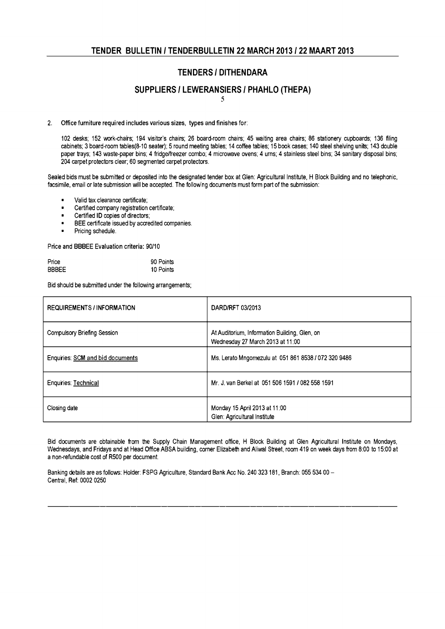#### **TENDERS /DITHENDARA**

#### **SUPPLIERS** *I* **LEWERANSIERS***I* **PHAHLO (THEPA)**

5

#### 2. Office furniture required includes various sizes, types and finishes for:

102 desks; 152 work-chairs; 194 visitor's chairs; 26 board-room chairs; 45 waiting area chairs; 86 stationery cupboards; 136 filing cabinets; 3 board-room tables(8-10 seater); 5 round meeting tables; 14 coffee tables; 15 book cases; 140 steel shelving units; 143 double paper trays; 143 waste-paper bins; 4 fridge/freezer combo; 4 microwave ovens; 4 urns; 4 stainless steel bins; 34 sanitary disposal bins; 204 carpet protectors clear; 60 segmented carpet protectors.

Sealed bids must be submitted or deposited into the designated tender box at Glen: Agricultural Institute, H Block Building and no telephonic, facsimile, email or late submission will be accepted. The following documents must form part of the submission:

- Valid tax clearance certificate;
- Certified company registration certificate;
- Certified ID copies of directors;
- BEE certificate issued by accredited companies.
- Pricing schedule.

Price and BBBEE Evaluation criteria: 90/10

| Price | 90 Points |
|-------|-----------|
| BBBEE | 10 Points |

Bid should be submitted under the following arrangements;

| <b>REQUIREMENTS / INFORMATION</b> | DARD/RFT 03/2013                                                                  |
|-----------------------------------|-----------------------------------------------------------------------------------|
| Compulsory Briefing Session       | At Auditorium, Information Building, Glen, on<br>Wednesday 27 March 2013 at 11:00 |
| Enquiries: SCM and bid documents  | Ms. Lerato Mngomezulu at 051 861 8538 / 072 320 9486                              |
| Enquiries: Technical              | Mr. J. van Berkel at 051 506 1591 / 082 558 1591                                  |
| Closing date                      | Monday 15 April 2013 at 11:00<br>Glen: Agricultural Institute                     |

Bid documents are obtainable from the Supply Chain Management office, H Block Building at Glen Agricultural Institute on Mondays, Wednesdays, and Fridays and at Head Office ABSA building, corner Elizabeth and Aliwal Street, room 419 on week days from 8:00 to 15:00 at a non-refundable cost of R500 per document.

Banking details are as follows: Holder: FSPG Agriculture, Standard Bank Acc No. 240 323181, Branch: 055 534 00 -Central, Ref: 0002 0250